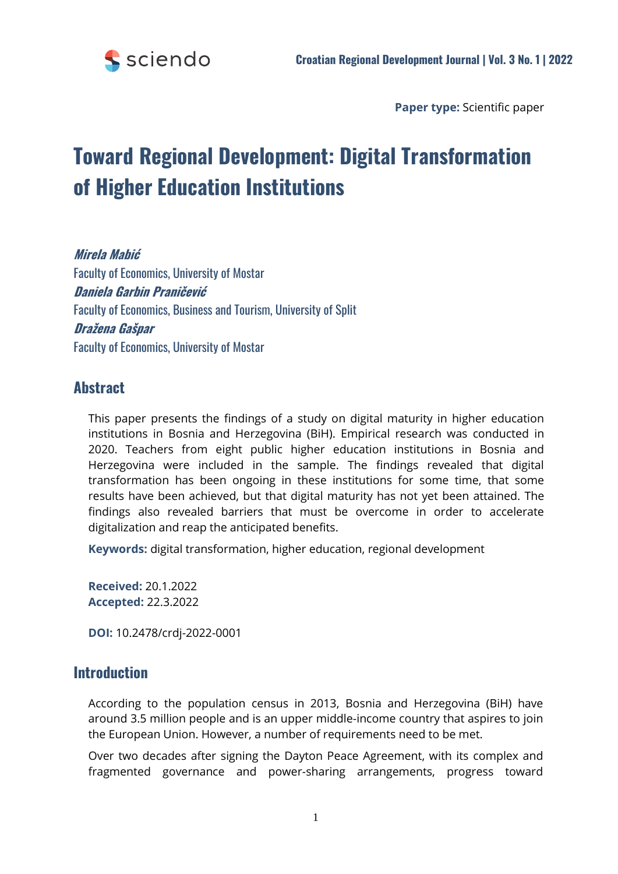

**Paper type:** Scientific paper

# **Toward Regional Development: Digital Transformation of Higher Education Institutions**

**Mirela Mabić** Faculty of Economics, University of Mostar **Daniela Garbin Praničević** Faculty of Economics, Business and Tourism, University of Split **Dražena Gašpar** Faculty of Economics, University of Mostar

## **Abstract**

This paper presents the findings of a study on digital maturity in higher education institutions in Bosnia and Herzegovina (BiH). Empirical research was conducted in 2020. Teachers from eight public higher education institutions in Bosnia and Herzegovina were included in the sample. The findings revealed that digital transformation has been ongoing in these institutions for some time, that some results have been achieved, but that digital maturity has not yet been attained. The findings also revealed barriers that must be overcome in order to accelerate digitalization and reap the anticipated benefits.

**Keywords:** digital transformation, higher education, regional development

**Received:** 20.1.2022 **Accepted:** 22.3.2022

**DOI:** 10.2478/crdj-2022-0001

## **Introduction**

According to the population census in 2013, Bosnia and Herzegovina (BiH) have around 3.5 million people and is an upper middle-income country that aspires to join the European Union. However, a number of requirements need to be met.

Over two decades after signing the Dayton Peace Agreement, with its complex and fragmented governance and power-sharing arrangements, progress toward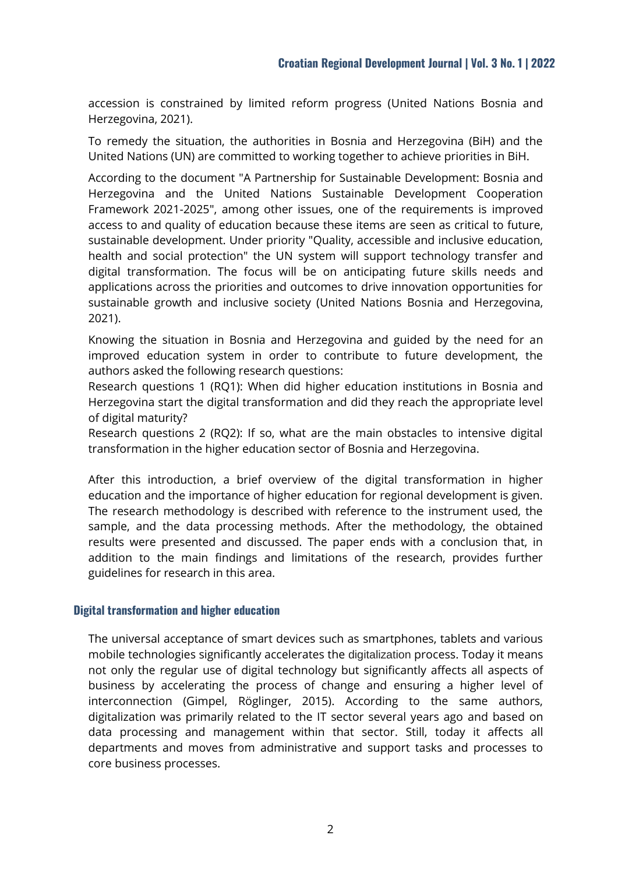accession is constrained by limited reform progress (United Nations Bosnia and Herzegovina, 2021).

To remedy the situation, the authorities in Bosnia and Herzegovina (BiH) and the United Nations (UN) are committed to working together to achieve priorities in BiH.

According to the document "A Partnership for Sustainable Development: Bosnia and Herzegovina and the United Nations Sustainable Development Cooperation Framework 2021-2025", among other issues, one of the requirements is improved access to and quality of education because these items are seen as critical to future, sustainable development. Under priority "Quality, accessible and inclusive education, health and social protection" the UN system will support technology transfer and digital transformation. The focus will be on anticipating future skills needs and applications across the priorities and outcomes to drive innovation opportunities for sustainable growth and inclusive society (United Nations Bosnia and Herzegovina, 2021).

Knowing the situation in Bosnia and Herzegovina and guided by the need for an improved education system in order to contribute to future development, the authors asked the following research questions:

Research questions 1 (RQ1): When did higher education institutions in Bosnia and Herzegovina start the digital transformation and did they reach the appropriate level of digital maturity?

Research questions 2 (RQ2): If so, what are the main obstacles to intensive digital transformation in the higher education sector of Bosnia and Herzegovina.

After this introduction, a brief overview of the digital transformation in higher education and the importance of higher education for regional development is given. The research methodology is described with reference to the instrument used, the sample, and the data processing methods. After the methodology, the obtained results were presented and discussed. The paper ends with a conclusion that, in addition to the main findings and limitations of the research, provides further guidelines for research in this area.

#### **Digital transformation and higher education**

The universal acceptance of smart devices such as smartphones, tablets and various mobile technologies significantly accelerates the digitalization process. Today it means not only the regular use of digital technology but significantly affects all aspects of business by accelerating the process of change and ensuring a higher level of interconnection (Gimpel, Röglinger, 2015). According to the same authors, digitalization was primarily related to the IT sector several years ago and based on data processing and management within that sector. Still, today it affects all departments and moves from administrative and support tasks and processes to core business processes.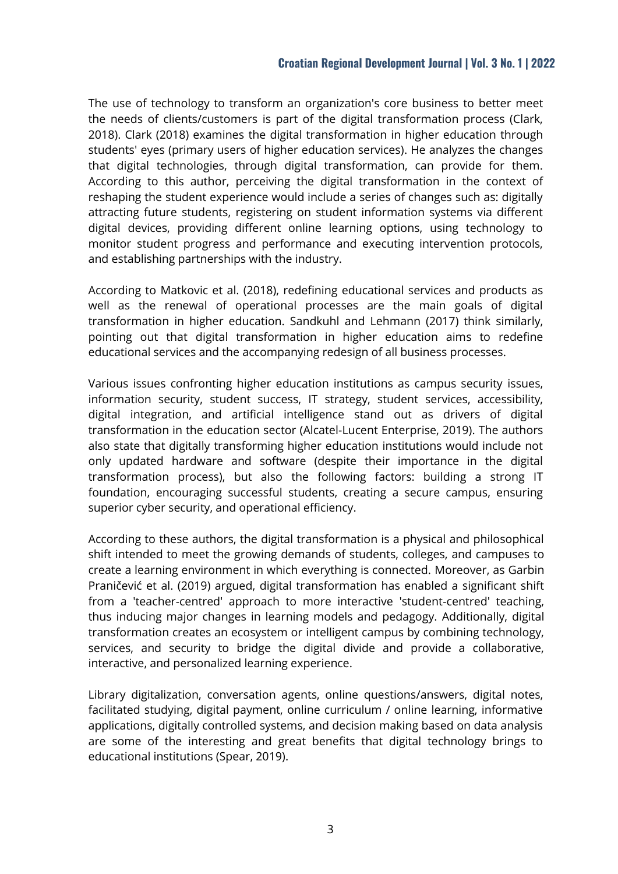The use of technology to transform an organization's core business to better meet the needs of clients/customers is part of the digital transformation process (Clark, 2018). Clark (2018) examines the digital transformation in higher education through students' eyes (primary users of higher education services). He analyzes the changes that digital technologies, through digital transformation, can provide for them. According to this author, perceiving the digital transformation in the context of reshaping the student experience would include a series of changes such as: digitally attracting future students, registering on student information systems via different digital devices, providing different online learning options, using technology to monitor student progress and performance and executing intervention protocols, and establishing partnerships with the industry.

According to Matkovic et al. (2018), redefining educational services and products as well as the renewal of operational processes are the main goals of digital transformation in higher education. Sandkuhl and Lehmann (2017) think similarly, pointing out that digital transformation in higher education aims to redefine educational services and the accompanying redesign of all business processes.

Various issues confronting higher education institutions as campus security issues, information security, student success, IT strategy, student services, accessibility, digital integration, and artificial intelligence stand out as drivers of digital transformation in the education sector (Alcatel-Lucent Enterprise, 2019). The authors also state that digitally transforming higher education institutions would include not only updated hardware and software (despite their importance in the digital transformation process), but also the following factors: building a strong IT foundation, encouraging successful students, creating a secure campus, ensuring superior cyber security, and operational efficiency.

According to these authors, the digital transformation is a physical and philosophical shift intended to meet the growing demands of students, colleges, and campuses to create a learning environment in which everything is connected. Moreover, as Garbin Praničević et al. (2019) argued, digital transformation has enabled a significant shift from a 'teacher-centred' approach to more interactive 'student-centred' teaching, thus inducing major changes in learning models and pedagogy. Additionally, digital transformation creates an ecosystem or intelligent campus by combining technology, services, and security to bridge the digital divide and provide a collaborative, interactive, and personalized learning experience.

Library digitalization, conversation agents, online questions/answers, digital notes, facilitated studying, digital payment, online curriculum / online learning, informative applications, digitally controlled systems, and decision making based on data analysis are some of the interesting and great benefits that digital technology brings to educational institutions (Spear, 2019).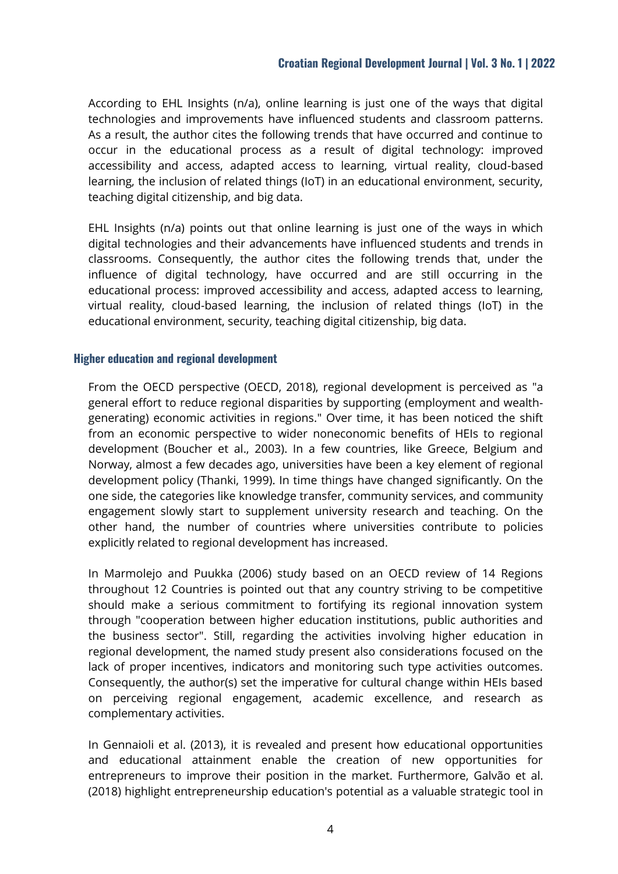According to EHL Insights (n/a), online learning is just one of the ways that digital technologies and improvements have influenced students and classroom patterns. As a result, the author cites the following trends that have occurred and continue to occur in the educational process as a result of digital technology: improved accessibility and access, adapted access to learning, virtual reality, cloud-based learning, the inclusion of related things (IoT) in an educational environment, security, teaching digital citizenship, and big data.

EHL Insights (n/a) points out that online learning is just one of the ways in which digital technologies and their advancements have influenced students and trends in classrooms. Consequently, the author cites the following trends that, under the influence of digital technology, have occurred and are still occurring in the educational process: improved accessibility and access, adapted access to learning, virtual reality, cloud-based learning, the inclusion of related things (IoT) in the educational environment, security, teaching digital citizenship, big data.

#### **Higher education and regional development**

From the OECD perspective (OECD, 2018), regional development is perceived as "a general effort to reduce regional disparities by supporting (employment and wealthgenerating) economic activities in regions." Over time, it has been noticed the shift from an economic perspective to wider noneconomic benefits of HEIs to regional development (Boucher et al., 2003). In a few countries, like Greece, Belgium and Norway, almost a few decades ago, universities have been a key element of regional development policy (Thanki, 1999). In time things have changed significantly. On the one side, the categories like knowledge transfer, community services, and community engagement slowly start to supplement university research and teaching. On the other hand, the number of countries where universities contribute to policies explicitly related to regional development has increased.

In Marmolejo and Puukka (2006) study based on an OECD review of 14 Regions throughout 12 Countries is pointed out that any country striving to be competitive should make a serious commitment to fortifying its regional innovation system through "cooperation between higher education institutions, public authorities and the business sector". Still, regarding the activities involving higher education in regional development, the named study present also considerations focused on the lack of proper incentives, indicators and monitoring such type activities outcomes. Consequently, the author(s) set the imperative for cultural change within HEIs based on perceiving regional engagement, academic excellence, and research as complementary activities.

In Gennaioli et al. (2013), it is revealed and present how educational opportunities and educational attainment enable the creation of new opportunities for entrepreneurs to improve their position in the market. Furthermore, Galvão et al. (2018) highlight entrepreneurship education's potential as a valuable strategic tool in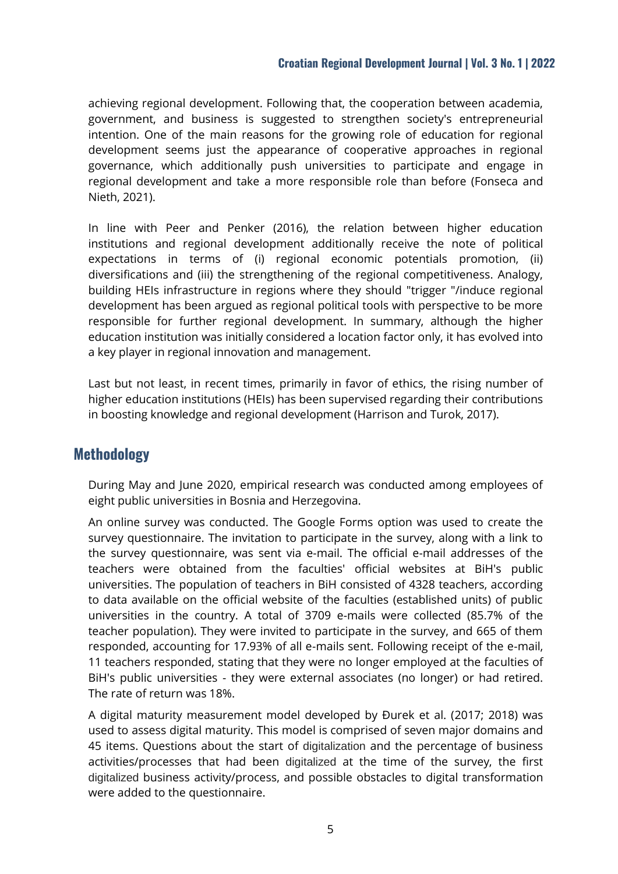achieving regional development. Following that, the cooperation between academia, government, and business is suggested to strengthen society's entrepreneurial intention. One of the main reasons for the growing role of education for regional development seems just the appearance of cooperative approaches in regional governance, which additionally push universities to participate and engage in regional development and take a more responsible role than before (Fonseca and Nieth, 2021).

In line with Peer and Penker (2016), the relation between higher education institutions and regional development additionally receive the note of political expectations in terms of (i) regional economic potentials promotion, (ii) diversifications and (iii) the strengthening of the regional competitiveness. Analogy, building HEIs infrastructure in regions where they should "trigger "/induce regional development has been argued as regional political tools with perspective to be more responsible for further regional development. In summary, although the higher education institution was initially considered a location factor only, it has evolved into a key player in regional innovation and management.

Last but not least, in recent times, primarily in favor of ethics, the rising number of higher education institutions (HEIs) has been supervised regarding their contributions in boosting knowledge and regional development (Harrison and Turok, 2017).

# **Methodology**

During May and June 2020, empirical research was conducted among employees of eight public universities in Bosnia and Herzegovina.

An online survey was conducted. The Google Forms option was used to create the survey questionnaire. The invitation to participate in the survey, along with a link to the survey questionnaire, was sent via e-mail. The official e-mail addresses of the teachers were obtained from the faculties' official websites at BiH's public universities. The population of teachers in BiH consisted of 4328 teachers, according to data available on the official website of the faculties (established units) of public universities in the country. A total of 3709 e-mails were collected (85.7% of the teacher population). They were invited to participate in the survey, and 665 of them responded, accounting for 17.93% of all e-mails sent. Following receipt of the e-mail, 11 teachers responded, stating that they were no longer employed at the faculties of BiH's public universities - they were external associates (no longer) or had retired. The rate of return was 18%.

A digital maturity measurement model developed by Đurek et al. (2017; 2018) was used to assess digital maturity. This model is comprised of seven major domains and 45 items. Questions about the start of digitalization and the percentage of business activities/processes that had been digitalized at the time of the survey, the first digitalized business activity/process, and possible obstacles to digital transformation were added to the questionnaire.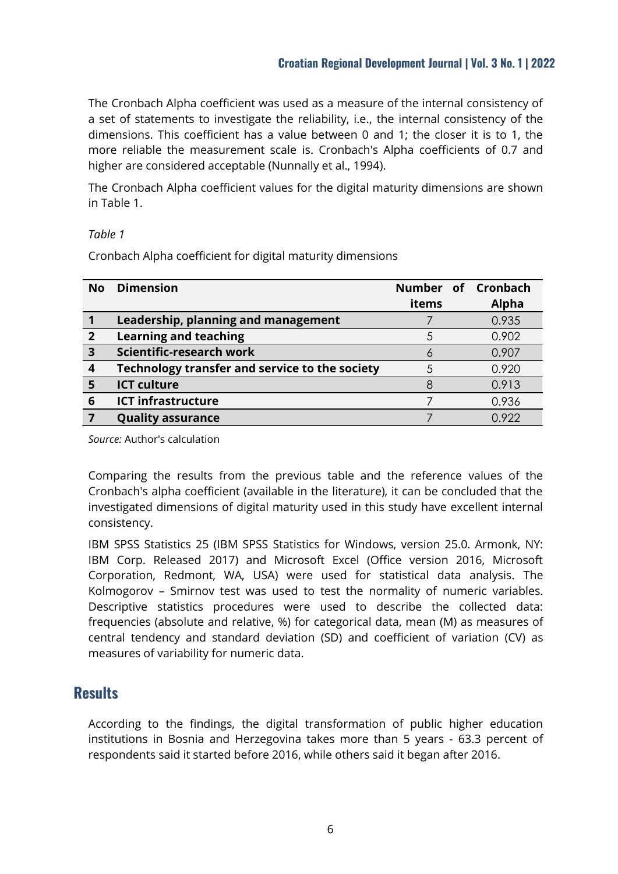The Cronbach Alpha coefficient was used as a measure of the internal consistency of a set of statements to investigate the reliability, i.e., the internal consistency of the dimensions. This coefficient has a value between 0 and 1; the closer it is to 1, the more reliable the measurement scale is. Cronbach's Alpha coefficients of 0.7 and higher are considered acceptable (Nunnally et al., 1994).

The Cronbach Alpha coefficient values for the digital maturity dimensions are shown in Table 1.

#### *Table 1*

Cronbach Alpha coefficient for digital maturity dimensions

| <b>No</b>        | <b>Dimension</b>                               |       | Number of Cronbach |
|------------------|------------------------------------------------|-------|--------------------|
|                  |                                                | items | <b>Alpha</b>       |
|                  | Leadership, planning and management            |       | 0.935              |
| $\overline{2}$   | <b>Learning and teaching</b>                   | 5     | 0.902              |
| $\overline{3}$   | Scientific-research work                       | O     | 0.907              |
| $\boldsymbol{4}$ | Technology transfer and service to the society | 5     | 0.920              |
| 5                | <b>ICT culture</b>                             |       | 0.913              |
| 6                | <b>ICT infrastructure</b>                      |       | 0.936              |
|                  | <b>Quality assurance</b>                       |       | 0.922              |

*Source:* Author's calculation

Comparing the results from the previous table and the reference values of the Cronbach's alpha coefficient (available in the literature), it can be concluded that the investigated dimensions of digital maturity used in this study have excellent internal consistency.

IBM SPSS Statistics 25 (IBM SPSS Statistics for Windows, version 25.0. Armonk, NY: IBM Corp. Released 2017) and Microsoft Excel (Office version 2016, Microsoft Corporation, Redmont, WA, USA) were used for statistical data analysis. The Kolmogorov – Smirnov test was used to test the normality of numeric variables. Descriptive statistics procedures were used to describe the collected data: frequencies (absolute and relative, %) for categorical data, mean (M) as measures of central tendency and standard deviation (SD) and coefficient of variation (CV) as measures of variability for numeric data.

# **Results**

According to the findings, the digital transformation of public higher education institutions in Bosnia and Herzegovina takes more than 5 years - 63.3 percent of respondents said it started before 2016, while others said it began after 2016.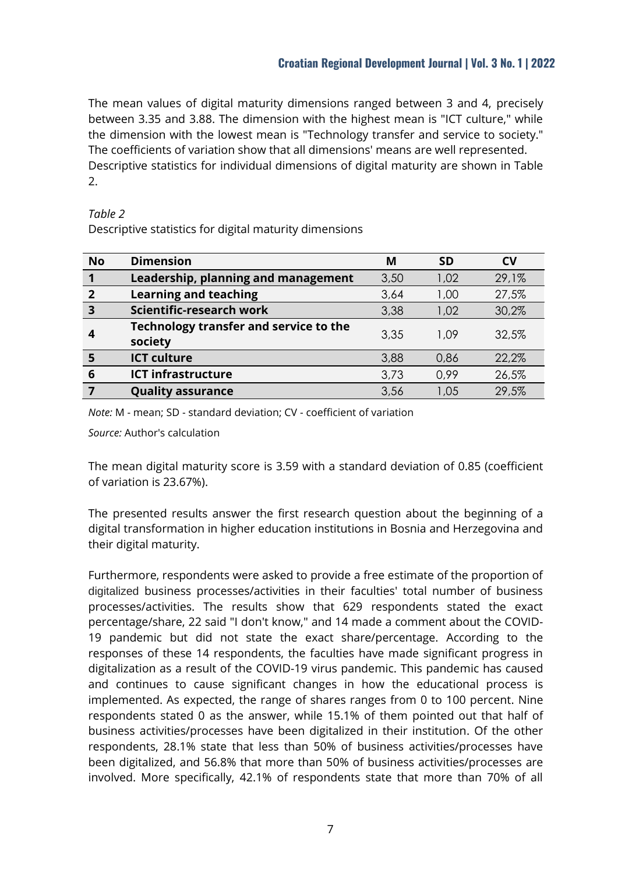The mean values of digital maturity dimensions ranged between 3 and 4, precisely between 3.35 and 3.88. The dimension with the highest mean is "ICT culture," while the dimension with the lowest mean is "Technology transfer and service to society." The coefficients of variation show that all dimensions' means are well represented. Descriptive statistics for individual dimensions of digital maturity are shown in Table 2.

### *Table 2*

Descriptive statistics for digital maturity dimensions

| <b>No</b>               | <b>Dimension</b>                                  | M    | <b>SD</b> | <b>CV</b> |
|-------------------------|---------------------------------------------------|------|-----------|-----------|
|                         | Leadership, planning and management               | 3,50 | 1,02      | 29,1%     |
| $\overline{2}$          | <b>Learning and teaching</b>                      | 3,64 | 1,00      | 27,5%     |
| $\overline{\mathbf{3}}$ | Scientific-research work                          | 3,38 | 1,02      | 30,2%     |
|                         | Technology transfer and service to the<br>society | 3,35 | 1.09      | 32.5%     |
|                         | <b>ICT culture</b>                                | 3,88 | 0,86      | 22,2%     |
| 6                       | <b>ICT infrastructure</b>                         | 3,73 | 0,99      | 26,5%     |
|                         | <b>Quality assurance</b>                          | 3,56 | 1.05      | 29,5%     |

*Note:* M - mean; SD - standard deviation; CV - coefficient of variation

*Source:* Author's calculation

The mean digital maturity score is 3.59 with a standard deviation of 0.85 (coefficient of variation is 23.67%).

The presented results answer the first research question about the beginning of a digital transformation in higher education institutions in Bosnia and Herzegovina and their digital maturity.

Furthermore, respondents were asked to provide a free estimate of the proportion of digitalized business processes/activities in their faculties' total number of business processes/activities. The results show that 629 respondents stated the exact percentage/share, 22 said "I don't know," and 14 made a comment about the COVID-19 pandemic but did not state the exact share/percentage. According to the responses of these 14 respondents, the faculties have made significant progress in digitalization as a result of the COVID-19 virus pandemic. This pandemic has caused and continues to cause significant changes in how the educational process is implemented. As expected, the range of shares ranges from 0 to 100 percent. Nine respondents stated 0 as the answer, while 15.1% of them pointed out that half of business activities/processes have been digitalized in their institution. Of the other respondents, 28.1% state that less than 50% of business activities/processes have been digitalized, and 56.8% that more than 50% of business activities/processes are involved. More specifically, 42.1% of respondents state that more than 70% of all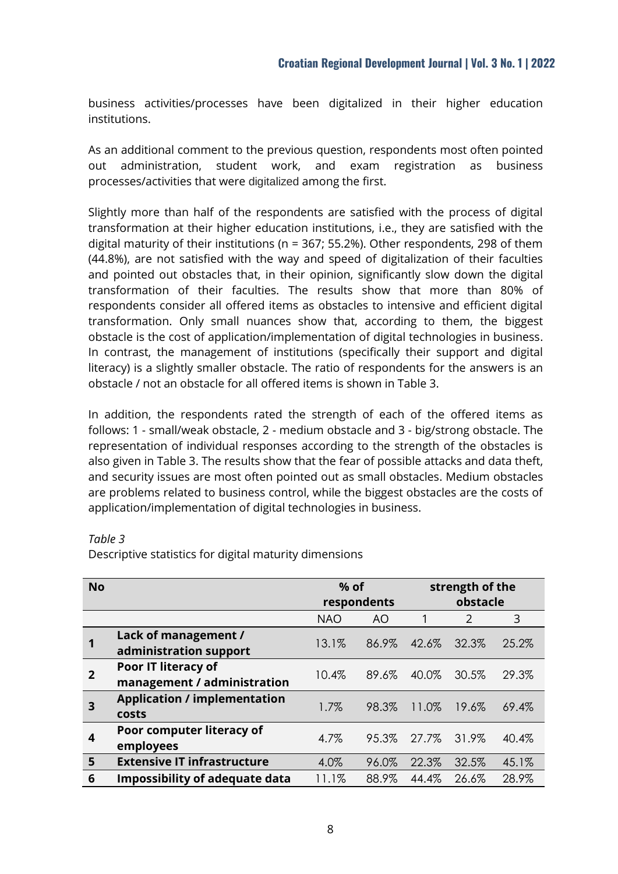business activities/processes have been digitalized in their higher education institutions.

As an additional comment to the previous question, respondents most often pointed out administration, student work, and exam registration as business processes/activities that were digitalized among the first.

Slightly more than half of the respondents are satisfied with the process of digital transformation at their higher education institutions, i.e., they are satisfied with the digital maturity of their institutions ( $n = 367$ ; 55.2%). Other respondents, 298 of them (44.8%), are not satisfied with the way and speed of digitalization of their faculties and pointed out obstacles that, in their opinion, significantly slow down the digital transformation of their faculties. The results show that more than 80% of respondents consider all offered items as obstacles to intensive and efficient digital transformation. Only small nuances show that, according to them, the biggest obstacle is the cost of application/implementation of digital technologies in business. In contrast, the management of institutions (specifically their support and digital literacy) is a slightly smaller obstacle. The ratio of respondents for the answers is an obstacle / not an obstacle for all offered items is shown in Table 3.

In addition, the respondents rated the strength of each of the offered items as follows: 1 - small/weak obstacle, 2 - medium obstacle and 3 - big/strong obstacle. The representation of individual responses according to the strength of the obstacles is also given in Table 3. The results show that the fear of possible attacks and data theft, and security issues are most often pointed out as small obstacles. Medium obstacles are problems related to business control, while the biggest obstacles are the costs of application/implementation of digital technologies in business.

| <b>No</b> |                                                    | $%$ of<br>respondents |       | strength of the<br>obstacle |       |       |
|-----------|----------------------------------------------------|-----------------------|-------|-----------------------------|-------|-------|
|           |                                                    | <b>NAO</b>            | AO    | 1                           | 2     | 3     |
|           | Lack of management /<br>administration support     | 13.1%                 | 86.9% | 42.6%                       | 32.3% | 25.2% |
| 2         | Poor IT literacy of<br>management / administration | 10.4%                 | 89.6% | 40.0%                       | 30.5% | 29.3% |
| 3         | <b>Application / implementation</b><br>costs       | 1.7%                  | 98.3% | 11.0%                       | 19.6% | 69.4% |
| 4         | Poor computer literacy of<br>employees             | 4.7%                  | 95.3% | 27.7%                       | 31.9% | 40.4% |
| 5         | <b>Extensive IT infrastructure</b>                 | 4.0%                  | 96.0% | 22.3%                       | 32.5% | 45.1% |
| 6         | <b>Impossibility of adequate data</b>              | 11.1%                 | 88.9% | 44.4%                       | 26.6% | 28.9% |

#### *Table 3*

Descriptive statistics for digital maturity dimensions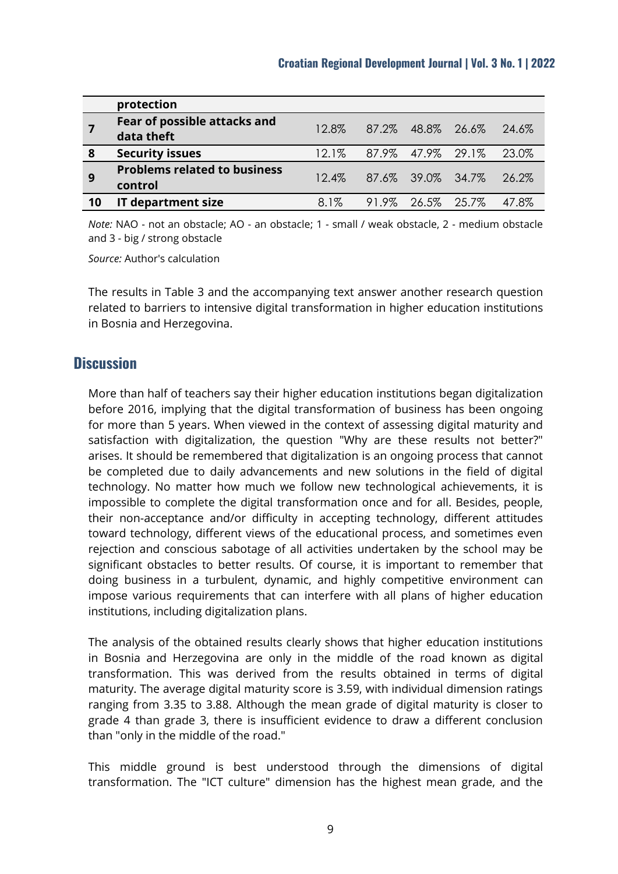|    | protection                                     |          |                         |                   |       |
|----|------------------------------------------------|----------|-------------------------|-------------------|-------|
|    | Fear of possible attacks and<br>data theft     | 12.8%    | 87.2% 48.8% 26.6% 24.6% |                   |       |
| 8  | <b>Security issues</b>                         | $12.1\%$ | 87.9% 47.9% 29.1%       |                   | 23.0% |
| 9  | <b>Problems related to business</b><br>control | $12.4\%$ | 87.6% 39.0% 34.7% 26.2% |                   |       |
| 10 | <b>IT department size</b>                      | $8.1\%$  |                         | 91.9% 26.5% 25.7% | 47.8% |

*Note:* NAO - not an obstacle; AO - an obstacle; 1 - small / weak obstacle, 2 - medium obstacle and 3 - big / strong obstacle

*Source:* Author's calculation

The results in Table 3 and the accompanying text answer another research question related to barriers to intensive digital transformation in higher education institutions in Bosnia and Herzegovina.

## **Discussion**

More than half of teachers say their higher education institutions began digitalization before 2016, implying that the digital transformation of business has been ongoing for more than 5 years. When viewed in the context of assessing digital maturity and satisfaction with digitalization, the question "Why are these results not better?" arises. It should be remembered that digitalization is an ongoing process that cannot be completed due to daily advancements and new solutions in the field of digital technology. No matter how much we follow new technological achievements, it is impossible to complete the digital transformation once and for all. Besides, people, their non-acceptance and/or difficulty in accepting technology, different attitudes toward technology, different views of the educational process, and sometimes even rejection and conscious sabotage of all activities undertaken by the school may be significant obstacles to better results. Of course, it is important to remember that doing business in a turbulent, dynamic, and highly competitive environment can impose various requirements that can interfere with all plans of higher education institutions, including digitalization plans.

The analysis of the obtained results clearly shows that higher education institutions in Bosnia and Herzegovina are only in the middle of the road known as digital transformation. This was derived from the results obtained in terms of digital maturity. The average digital maturity score is 3.59, with individual dimension ratings ranging from 3.35 to 3.88. Although the mean grade of digital maturity is closer to grade 4 than grade 3, there is insufficient evidence to draw a different conclusion than "only in the middle of the road."

This middle ground is best understood through the dimensions of digital transformation. The "ICT culture" dimension has the highest mean grade, and the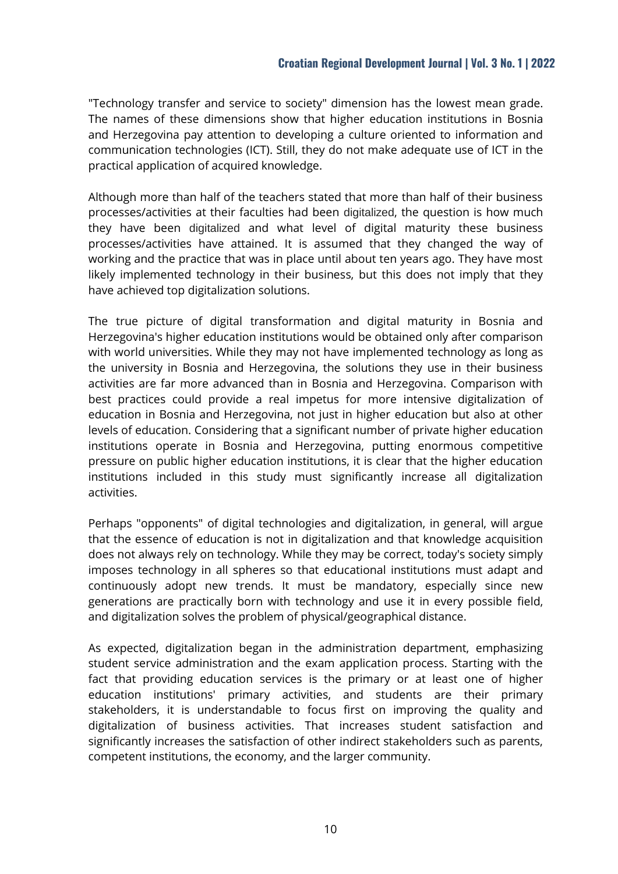"Technology transfer and service to society" dimension has the lowest mean grade. The names of these dimensions show that higher education institutions in Bosnia and Herzegovina pay attention to developing a culture oriented to information and communication technologies (ICT). Still, they do not make adequate use of ICT in the practical application of acquired knowledge.

Although more than half of the teachers stated that more than half of their business processes/activities at their faculties had been digitalized, the question is how much they have been digitalized and what level of digital maturity these business processes/activities have attained. It is assumed that they changed the way of working and the practice that was in place until about ten years ago. They have most likely implemented technology in their business, but this does not imply that they have achieved top digitalization solutions.

The true picture of digital transformation and digital maturity in Bosnia and Herzegovina's higher education institutions would be obtained only after comparison with world universities. While they may not have implemented technology as long as the university in Bosnia and Herzegovina, the solutions they use in their business activities are far more advanced than in Bosnia and Herzegovina. Comparison with best practices could provide a real impetus for more intensive digitalization of education in Bosnia and Herzegovina, not just in higher education but also at other levels of education. Considering that a significant number of private higher education institutions operate in Bosnia and Herzegovina, putting enormous competitive pressure on public higher education institutions, it is clear that the higher education institutions included in this study must significantly increase all digitalization activities.

Perhaps "opponents" of digital technologies and digitalization, in general, will argue that the essence of education is not in digitalization and that knowledge acquisition does not always rely on technology. While they may be correct, today's society simply imposes technology in all spheres so that educational institutions must adapt and continuously adopt new trends. It must be mandatory, especially since new generations are practically born with technology and use it in every possible field, and digitalization solves the problem of physical/geographical distance.

As expected, digitalization began in the administration department, emphasizing student service administration and the exam application process. Starting with the fact that providing education services is the primary or at least one of higher education institutions' primary activities, and students are their primary stakeholders, it is understandable to focus first on improving the quality and digitalization of business activities. That increases student satisfaction and significantly increases the satisfaction of other indirect stakeholders such as parents, competent institutions, the economy, and the larger community.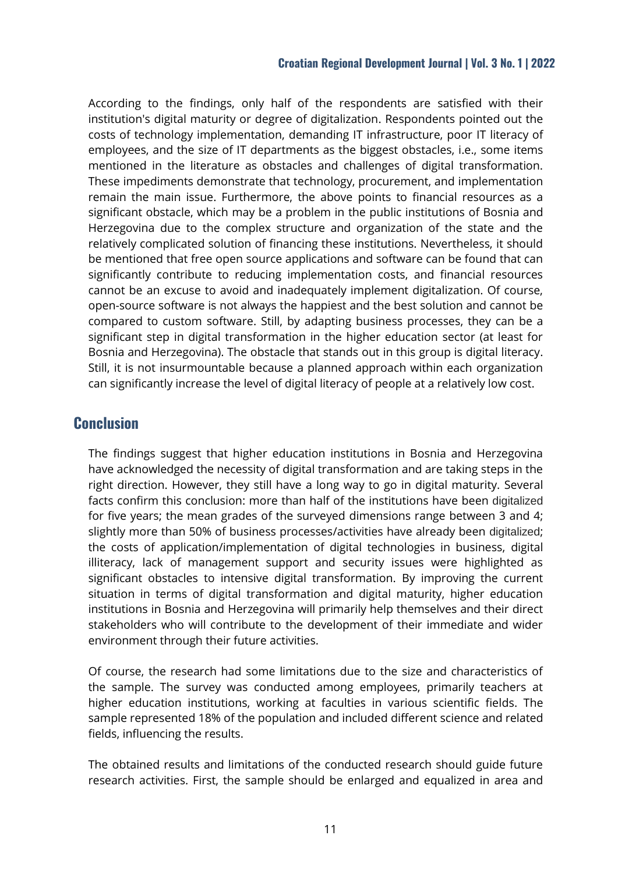According to the findings, only half of the respondents are satisfied with their institution's digital maturity or degree of digitalization. Respondents pointed out the costs of technology implementation, demanding IT infrastructure, poor IT literacy of employees, and the size of IT departments as the biggest obstacles, i.e., some items mentioned in the literature as obstacles and challenges of digital transformation. These impediments demonstrate that technology, procurement, and implementation remain the main issue. Furthermore, the above points to financial resources as a significant obstacle, which may be a problem in the public institutions of Bosnia and Herzegovina due to the complex structure and organization of the state and the relatively complicated solution of financing these institutions. Nevertheless, it should be mentioned that free open source applications and software can be found that can significantly contribute to reducing implementation costs, and financial resources cannot be an excuse to avoid and inadequately implement digitalization. Of course, open-source software is not always the happiest and the best solution and cannot be compared to custom software. Still, by adapting business processes, they can be a significant step in digital transformation in the higher education sector (at least for Bosnia and Herzegovina). The obstacle that stands out in this group is digital literacy. Still, it is not insurmountable because a planned approach within each organization can significantly increase the level of digital literacy of people at a relatively low cost.

## **Conclusion**

The findings suggest that higher education institutions in Bosnia and Herzegovina have acknowledged the necessity of digital transformation and are taking steps in the right direction. However, they still have a long way to go in digital maturity. Several facts confirm this conclusion: more than half of the institutions have been digitalized for five years; the mean grades of the surveyed dimensions range between 3 and 4; slightly more than 50% of business processes/activities have already been digitalized; the costs of application/implementation of digital technologies in business, digital illiteracy, lack of management support and security issues were highlighted as significant obstacles to intensive digital transformation. By improving the current situation in terms of digital transformation and digital maturity, higher education institutions in Bosnia and Herzegovina will primarily help themselves and their direct stakeholders who will contribute to the development of their immediate and wider environment through their future activities.

Of course, the research had some limitations due to the size and characteristics of the sample. The survey was conducted among employees, primarily teachers at higher education institutions, working at faculties in various scientific fields. The sample represented 18% of the population and included different science and related fields, influencing the results.

The obtained results and limitations of the conducted research should guide future research activities. First, the sample should be enlarged and equalized in area and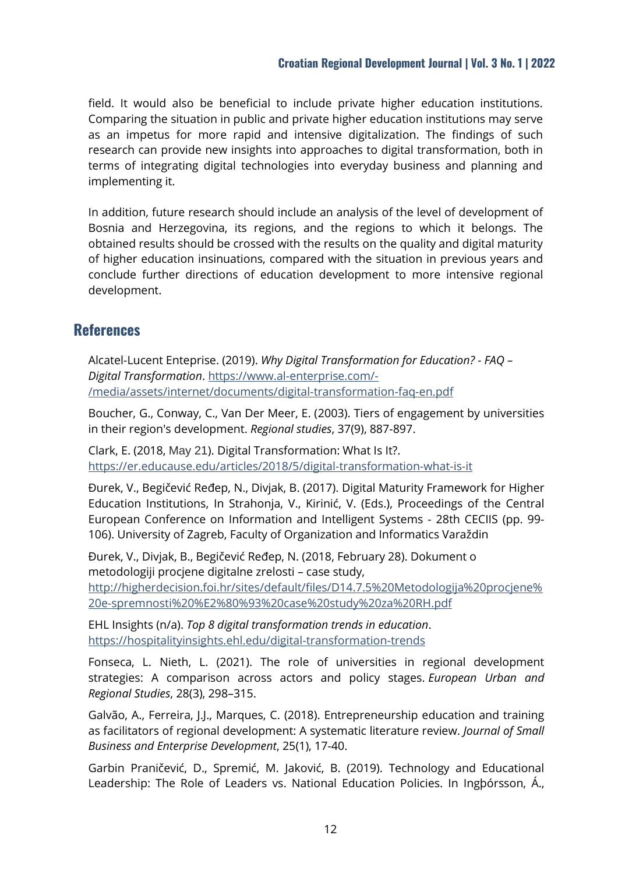field. It would also be beneficial to include private higher education institutions. Comparing the situation in public and private higher education institutions may serve as an impetus for more rapid and intensive digitalization. The findings of such research can provide new insights into approaches to digital transformation, both in terms of integrating digital technologies into everyday business and planning and implementing it.

In addition, future research should include an analysis of the level of development of Bosnia and Herzegovina, its regions, and the regions to which it belongs. The obtained results should be crossed with the results on the quality and digital maturity of higher education insinuations, compared with the situation in previous years and conclude further directions of education development to more intensive regional development.

# **References**

Alcatel-Lucent Enteprise. (2019). *Why Digital Transformation for Education? - FAQ – Digital Transformation*. [https://www.al-enterprise.com/-](https://www.al-enterprise.com/-/media/assets/internet/documents/digital-transformation-faq-en.pdf) [/media/assets/internet/documents/digital-transformation-faq-en.pdf](https://www.al-enterprise.com/-/media/assets/internet/documents/digital-transformation-faq-en.pdf)

Boucher, G., Conway, C., Van Der Meer, E. (2003). Tiers of engagement by universities in their region's development. *Regional studies*, 37(9), 887-897.

[Clark,](https://members.educause.edu/edmund-clark) E. (2018, May 21). Digital Transformation: What Is It?. <https://er.educause.edu/articles/2018/5/digital-transformation-what-is-it>

Đurek, V., Begičević Ređep, N., Divjak, B. (2017). Digital Maturity Framework for Higher Education Institutions, In Strahonja, V., Kirinić, V. (Eds.), Proceedings of the Central European Conference on Information and Intelligent Systems - 28th CECIIS (pp. 99- 106). University of Zagreb, Faculty of Organization and Informatics Varaždin

Đurek, V., Divjak, B., Begičević Ređep, N. (2018, February 28). Dokument o metodologiji procjene digitalne zrelosti – case study, [http://higherdecision.foi.hr/sites/default/files/D14.7.5%20Metodologija%20procjene%](http://higherdecision.foi.hr/sites/default/files/D14.7.5%20Metodologija%20procjene%20e-spremnosti%20%E2%80%93%20case%20study%20za%20RH.pdf) [20e-spremnosti%20%E2%80%93%20case%20study%20za%20RH.pdf](http://higherdecision.foi.hr/sites/default/files/D14.7.5%20Metodologija%20procjene%20e-spremnosti%20%E2%80%93%20case%20study%20za%20RH.pdf)

EHL Insights (n/a). *Top 8 digital transformation trends in education*. <https://hospitalityinsights.ehl.edu/digital-transformation-trends>

Fonseca, L. Nieth, L. (2021). The role of universities in regional development strategies: A comparison across actors and policy stages. *European Urban and Regional Studies*, 28(3), 298–315.

Galvão, A., Ferreira, J.J., Marques, C. (2018). Entrepreneurship education and training as facilitators of regional development: A systematic literature review. *Journal of Small Business and Enterprise Development*, 25(1), 17-40.

Garbin Praničević, D., Spremić, M. Jaković, B. (2019). Technology and Educational Leadership: The Role of Leaders vs. National Education Policies. In Ingþórsson, Á.,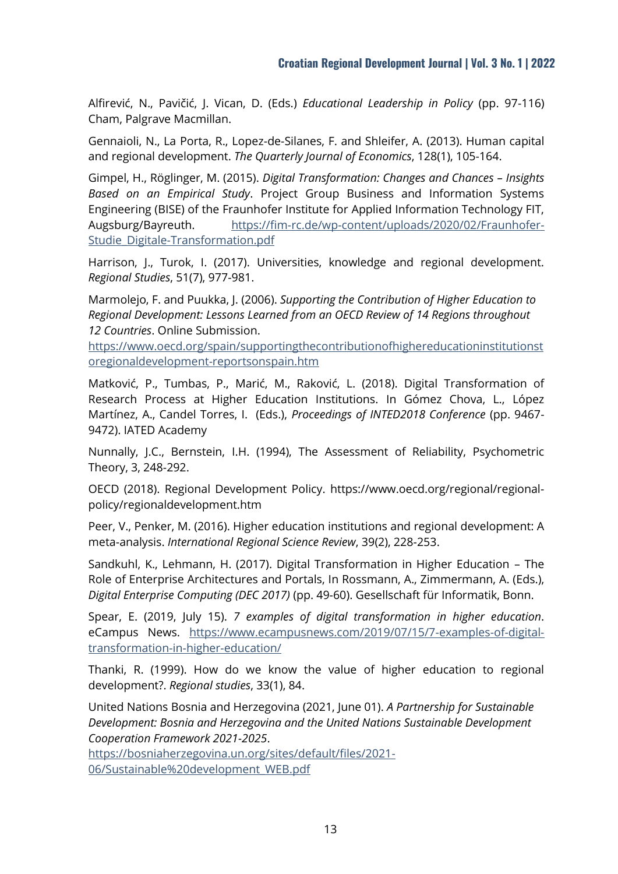Alfirević, N., Pavičić, J. Vican, D. (Eds.) *Educational Leadership in Policy* (pp. 97-116) Cham, Palgrave Macmillan.

Gennaioli, N., La Porta, R., Lopez-de-Silanes, F. and Shleifer, A. (2013). Human capital and regional development. *The Quarterly Journal of Economics*, 128(1), 105-164.

Gimpel, H., Röglinger, M. (2015). *Digital Transformation: Changes and Chances – Insights Based on an Empirical Study*. Project Group Business and Information Systems Engineering (BISE) of the Fraunhofer Institute for Applied Information Technology FIT, Augsburg/Bayreuth. [https://fim-rc.de/wp-content/uploads/2020/02/Fraunhofer-](https://fim-rc.de/wp-content/uploads/2020/02/Fraunhofer-Studie_Digitale-Transformation.pdf)[Studie\\_Digitale-Transformation.pdf](https://fim-rc.de/wp-content/uploads/2020/02/Fraunhofer-Studie_Digitale-Transformation.pdf)

Harrison, J., Turok, I. (2017). Universities, knowledge and regional development. *Regional Studies*, 51(7), 977-981.

Marmolejo, F. and Puukka, J. (2006). *Supporting the Contribution of Higher Education to Regional Development: Lessons Learned from an OECD Review of 14 Regions throughout 12 Countries*. Online Submission.

[https://www.oecd.org/spain/supportingthecontributionofhighereducationinstitutionst](https://www.oecd.org/spain/supportingthecontributionofhighereducationinstitutionstoregionaldevelopment-reportsonspain.htm) [oregionaldevelopment-reportsonspain.htm](https://www.oecd.org/spain/supportingthecontributionofhighereducationinstitutionstoregionaldevelopment-reportsonspain.htm)

Matković, P., Tumbas, P., Marić, M., Raković, L. (2018). Digital Transformation of Research Process at Higher Education Institutions. In Gómez Chova, L., López Martínez, A., Candel Torres, I. (Eds.), *Proceedings of INTED2018 Conference* (pp. 9467- 9472). IATED Academy

Nunnally, J.C., Bernstein, I.H. (1994), The Assessment of Reliability, Psychometric Theory, 3, 248-292.

OECD (2018). Regional Development Policy. [https://www.oecd.org/regional/regional](https://www.oecd.org/regional/regional-policy/regionaldevelopment.htm)[policy/regionaldevelopment.htm](https://www.oecd.org/regional/regional-policy/regionaldevelopment.htm)

Peer, V., Penker, M. (2016). Higher education institutions and regional development: A meta-analysis. *International Regional Science Review*, 39(2), 228-253.

Sandkuhl, K., Lehmann, H. (2017). Digital Transformation in Higher Education – The Role of Enterprise Architectures and Portals, In Rossmann, A., Zimmermann, A. (Eds.), *Digital Enterprise Computing (DEC 2017)* (pp. 49-60). Gesellschaft für Informatik, Bonn.

Spear, E. (2019, July 15). *7 examples of digital transformation in higher education*. eCampus News. [https://www.ecampusnews.com/2019/07/15/7-examples-of-digital](https://www.ecampusnews.com/2019/07/15/7-examples-of-digital-transformation-in-higher-education/)[transformation-in-higher-education/](https://www.ecampusnews.com/2019/07/15/7-examples-of-digital-transformation-in-higher-education/)

Thanki, R. (1999). How do we know the value of higher education to regional development?. *Regional studies*, 33(1), 84.

United Nations Bosnia and Herzegovina (2021, June 01). *A Partnership for Sustainable Development: Bosnia and Herzegovina and the United Nations Sustainable Development Cooperation Framework 2021-2025*.

[https://bosniaherzegovina.un.org/sites/default/files/2021-](https://bosniaherzegovina.un.org/sites/default/files/2021-06/Sustainable%20development_WEB.pdf) [06/Sustainable%20development\\_WEB.pdf](https://bosniaherzegovina.un.org/sites/default/files/2021-06/Sustainable%20development_WEB.pdf)